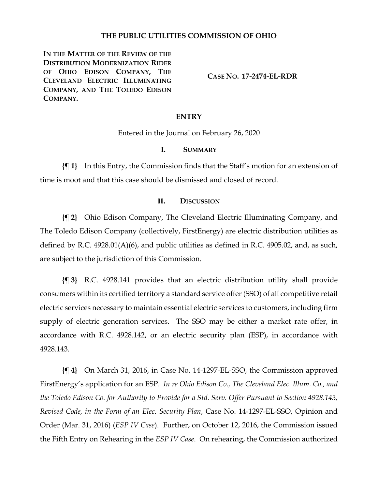#### **THE PUBLIC UTILITIES COMMISSION OF OHIO**

**IN THE MATTER OF THE REVIEW OF THE DISTRIBUTION MODERNIZATION RIDER OF OHIO EDISON COMPANY, THE CLEVELAND ELECTRIC ILLUMINATING COMPANY, AND THE TOLEDO EDISON COMPANY.**

**CASE NO. 17-2474-EL-RDR**

#### **ENTRY**

Entered in the Journal on February 26, 2020

### **I. SUMMARY**

**{¶ 1}** In this Entry, the Commission finds that the Staff's motion for an extension of time is moot and that this case should be dismissed and closed of record.

#### **II. DISCUSSION**

**{¶ 2}** Ohio Edison Company, The Cleveland Electric Illuminating Company, and The Toledo Edison Company (collectively, FirstEnergy) are electric distribution utilities as defined by R.C. 4928.01(A)(6), and public utilities as defined in R.C. 4905.02, and, as such, are subject to the jurisdiction of this Commission.

**{¶ 3}** R.C. 4928.141 provides that an electric distribution utility shall provide consumers within its certified territory a standard service offer(SSO) of all competitive retail electric services necessary to maintain essential electric services to customers, including firm supply of electric generation services. The SSO may be either a market rate offer, in accordance with R.C. 4928.142, or an electric security plan (ESP), in accordance with 4928.143.

**{¶ 4}** On March 31, 2016, in Case No. 14-1297-EL-SSO, the Commission approved FirstEnergy's application for an ESP. *In re Ohio Edison Co., The Cleveland Elec. Illum. Co., and the Toledo Edison Co. for Authority to Provide for a Std. Serv. Offer Pursuant to Section 4928.143, Revised Code, in the Form of an Elec. Security Plan*, Case No. 14-1297-EL-SSO, Opinion and Order (Mar. 31, 2016) (*ESP IV Case*). Further, on October 12, 2016, the Commission issued the Fifth Entry on Rehearing in the *ESP IV Case*. On rehearing, the Commission authorized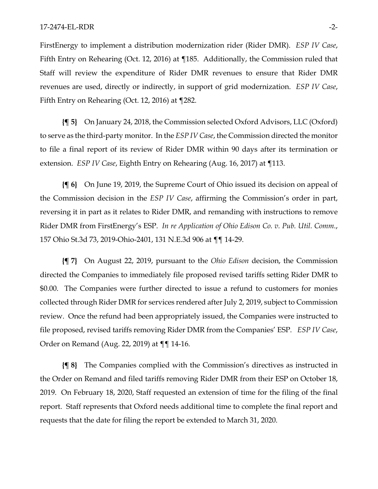FirstEnergy to implement a distribution modernization rider (Rider DMR). *ESP IV Case*, Fifth Entry on Rehearing (Oct. 12, 2016) at ¶185. Additionally, the Commission ruled that Staff will review the expenditure of Rider DMR revenues to ensure that Rider DMR revenues are used, directly or indirectly, in support of grid modernization. *ESP IV Case*, Fifth Entry on Rehearing (Oct. 12, 2016) at ¶282.

**{¶ 5}** On January 24, 2018, the Commission selected Oxford Advisors, LLC (Oxford) to serve as the third-party monitor. In the *ESP IV Case*, the Commission directed the monitor to file a final report of its review of Rider DMR within 90 days after its termination or extension. *ESP IV Case*, Eighth Entry on Rehearing (Aug. 16, 2017) at ¶113.

**{¶ 6}** On June 19, 2019, the Supreme Court of Ohio issued its decision on appeal of the Commission decision in the *ESP IV Case*, affirming the Commission's order in part, reversing it in part as it relates to Rider DMR, and remanding with instructions to remove Rider DMR from FirstEnergy's ESP. *In re Application of Ohio Edison Co. v. Pub. Util. Comm.*, 157 Ohio St.3d 73, 2019-Ohio-2401, 131 N.E.3d 906 at ¶¶ 14-29.

**{¶ 7}** On August 22, 2019, pursuant to the *Ohio Edison* decision, the Commission directed the Companies to immediately file proposed revised tariffs setting Rider DMR to \$0.00. The Companies were further directed to issue a refund to customers for monies collected through Rider DMR for services rendered after July 2, 2019, subject to Commission review. Once the refund had been appropriately issued, the Companies were instructed to file proposed, revised tariffs removing Rider DMR from the Companies' ESP. *ESP IV Case*, Order on Remand (Aug. 22, 2019) at ¶¶ 14-16.

**{¶ 8}** The Companies complied with the Commission's directives as instructed in the Order on Remand and filed tariffs removing Rider DMR from their ESP on October 18, 2019. On February 18, 2020, Staff requested an extension of time for the filing of the final report. Staff represents that Oxford needs additional time to complete the final report and requests that the date for filing the report be extended to March 31, 2020.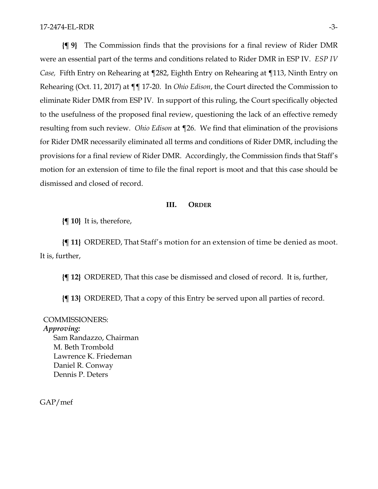**{¶ 9}** The Commission finds that the provisions for a final review of Rider DMR were an essential part of the terms and conditions related to Rider DMR in ESP IV. *ESP IV Case,* Fifth Entry on Rehearing at ¶282, Eighth Entry on Rehearing at ¶113, Ninth Entry on Rehearing (Oct. 11, 2017) at ¶¶ 17-20. In *Ohio Edison*, the Court directed the Commission to eliminate Rider DMR from ESP IV. In support of this ruling, the Court specifically objected to the usefulness of the proposed final review, questioning the lack of an effective remedy resulting from such review. *Ohio Edison* at ¶26. We find that elimination of the provisions for Rider DMR necessarily eliminated all terms and conditions of Rider DMR, including the provisions for a final review of Rider DMR. Accordingly, the Commission finds that Staff's motion for an extension of time to file the final report is moot and that this case should be dismissed and closed of record.

#### **III. ORDER**

**{¶ 10}** It is, therefore,

**{¶ 11}** ORDERED, That Staff's motion for an extension of time be denied as moot. It is, further,

**{¶ 12}** ORDERED, That this case be dismissed and closed of record. It is, further,

**{¶ 13}** ORDERED, That a copy of this Entry be served upon all parties of record.

## COMMISSIONERS: *Approving:*  Sam Randazzo, Chairman M. Beth Trombold Lawrence K. Friedeman Daniel R. Conway Dennis P. Deters

GAP/mef